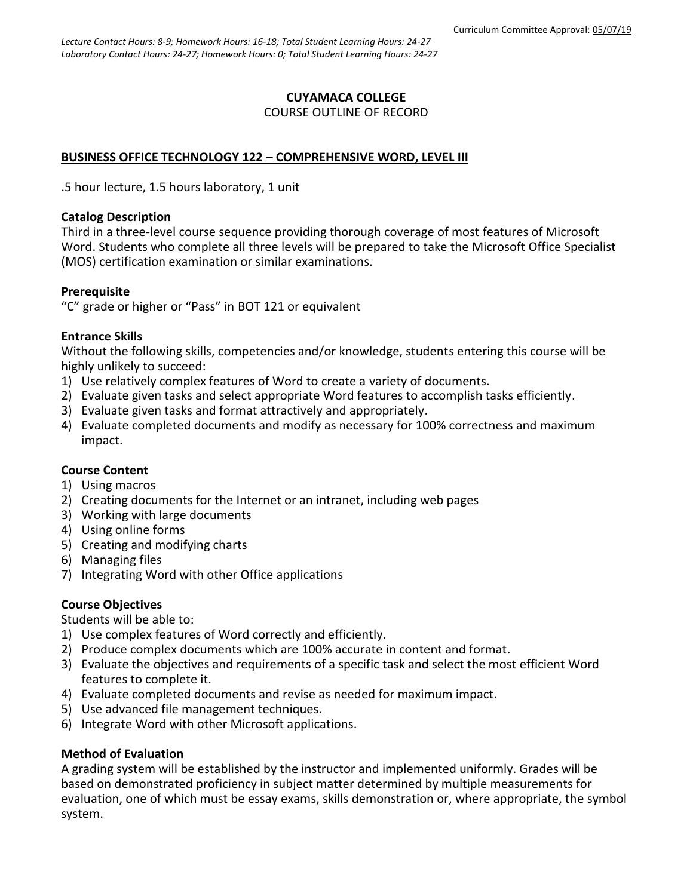# **CUYAMACA COLLEGE** COURSE OUTLINE OF RECORD

# **BUSINESS OFFICE TECHNOLOGY 122 – COMPREHENSIVE WORD, LEVEL III**

.5 hour lecture, 1.5 hours laboratory, 1 unit

## **Catalog Description**

Third in a three-level course sequence providing thorough coverage of most features of Microsoft Word. Students who complete all three levels will be prepared to take the Microsoft Office Specialist (MOS) certification examination or similar examinations.

# **Prerequisite**

"C" grade or higher or "Pass" in BOT 121 or equivalent

# **Entrance Skills**

Without the following skills, competencies and/or knowledge, students entering this course will be highly unlikely to succeed:

- 1) Use relatively complex features of Word to create a variety of documents.
- 2) Evaluate given tasks and select appropriate Word features to accomplish tasks efficiently.
- 3) Evaluate given tasks and format attractively and appropriately.
- 4) Evaluate completed documents and modify as necessary for 100% correctness and maximum impact.

### **Course Content**

- 1) Using macros
- 2) Creating documents for the Internet or an intranet, including web pages
- 3) Working with large documents
- 4) Using online forms
- 5) Creating and modifying charts
- 6) Managing files
- 7) Integrating Word with other Office applications

# **Course Objectives**

Students will be able to:

- 1) Use complex features of Word correctly and efficiently.
- 2) Produce complex documents which are 100% accurate in content and format.
- 3) Evaluate the objectives and requirements of a specific task and select the most efficient Word features to complete it.
- 4) Evaluate completed documents and revise as needed for maximum impact.
- 5) Use advanced file management techniques.
- 6) Integrate Word with other Microsoft applications.

### **Method of Evaluation**

A grading system will be established by the instructor and implemented uniformly. Grades will be based on demonstrated proficiency in subject matter determined by multiple measurements for evaluation, one of which must be essay exams, skills demonstration or, where appropriate, the symbol system.